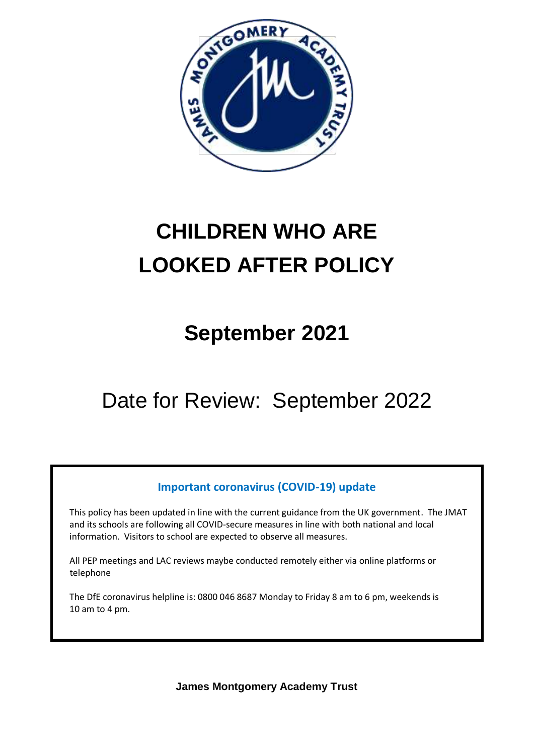

# **CHILDREN WHO ARE LOOKED AFTER POLICY**

## **September 2021**

Date for Review: September 2022

### **Important coronavirus (COVID-19) update**

 This policy has been updated in line with the current guidance from the UK government. The JMAT and its schools are following all COVID-secure measures in line with both national and local information. Visitors to school are expected to observe all measures.

 All PEP meetings and LAC reviews maybe conducted remotely either via online platforms or telephone

 The DfE coronavirus helpline is: 0800 046 8687 Monday to Friday 8 am to 6 pm, weekends is 10 am to 4 pm.

**James Montgomery Academy Trust**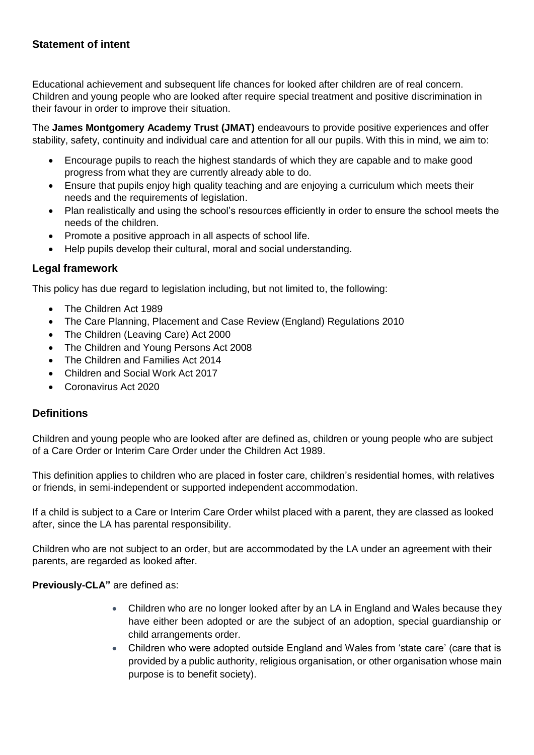#### **Statement of intent**

Educational achievement and subsequent life chances for looked after children are of real concern. Children and young people who are looked after require special treatment and positive discrimination in their favour in order to improve their situation.

The **James Montgomery Academy Trust (JMAT)** endeavours to provide positive experiences and offer stability, safety, continuity and individual care and attention for all our pupils. With this in mind, we aim to:

- Encourage pupils to reach the highest standards of which they are capable and to make good progress from what they are currently already able to do.
- Ensure that pupils enjoy high quality teaching and are enjoying a curriculum which meets their needs and the requirements of legislation.
- Plan realistically and using the school's resources efficiently in order to ensure the school meets the needs of the children.
- Promote a positive approach in all aspects of school life.
- Help pupils develop their cultural, moral and social understanding.

#### **Legal framework**

This policy has due regard to legislation including, but not limited to, the following:

- The Children Act 1989
- The Care Planning, Placement and Case Review (England) Regulations 2010
- The Children (Leaving Care) Act 2000
- The Children and Young Persons Act 2008
- The Children and Families Act 2014
- Children and Social Work Act 2017
- Coronavirus Act 2020

#### **Definitions**

Children and young people who are looked after are defined as, children or young people who are subject of a Care Order or Interim Care Order under the Children Act 1989.

This definition applies to children who are placed in foster care, children's residential homes, with relatives or friends, in semi-independent or supported independent accommodation.

If a child is subject to a Care or Interim Care Order whilst placed with a parent, they are classed as looked after, since the LA has parental responsibility.

Children who are not subject to an order, but are accommodated by the LA under an agreement with their parents, are regarded as looked after.

**Previously-CLA"** are defined as:

- Children who are no longer looked after by an LA in England and Wales because they have either been adopted or are the subject of an adoption, special guardianship or child arrangements order.
- Children who were adopted outside England and Wales from 'state care' (care that is provided by a public authority, religious organisation, or other organisation whose main purpose is to benefit society).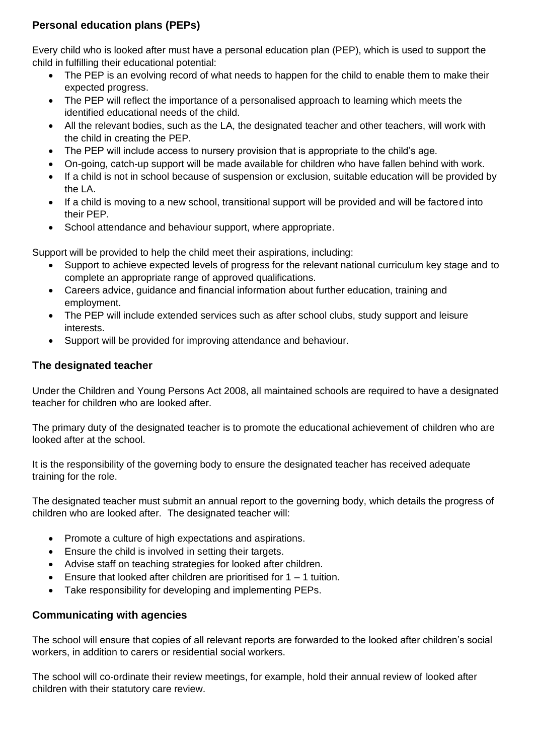#### **Personal education plans (PEPs)**

Every child who is looked after must have a personal education plan (PEP), which is used to support the child in fulfilling their educational potential:

- The PEP is an evolving record of what needs to happen for the child to enable them to make their expected progress.
- The PEP will reflect the importance of a personalised approach to learning which meets the identified educational needs of the child.
- All the relevant bodies, such as the LA, the designated teacher and other teachers, will work with the child in creating the PEP.
- The PEP will include access to nursery provision that is appropriate to the child's age.
- On-going, catch-up support will be made available for children who have fallen behind with work.
- If a child is not in school because of suspension or exclusion, suitable education will be provided by the LA.
- If a child is moving to a new school, transitional support will be provided and will be factored into their PEP.
- School attendance and behaviour support, where appropriate.

Support will be provided to help the child meet their aspirations, including:

- Support to achieve expected levels of progress for the relevant national curriculum key stage and to complete an appropriate range of approved qualifications.
- Careers advice, guidance and financial information about further education, training and employment.
- The PEP will include extended services such as after school clubs, study support and leisure interests.
- Support will be provided for improving attendance and behaviour.

#### **The designated teacher**

Under the Children and Young Persons Act 2008, all maintained schools are required to have a designated teacher for children who are looked after.

The primary duty of the designated teacher is to promote the educational achievement of children who are looked after at the school.

It is the responsibility of the governing body to ensure the designated teacher has received adequate training for the role.

The designated teacher must submit an annual report to the governing body, which details the progress of children who are looked after. The designated teacher will:

- Promote a culture of high expectations and aspirations.
- Ensure the child is involved in setting their targets.
- Advise staff on teaching strategies for looked after children.
- **Ensure that looked after children are prioritised for 1 1 tuition.**
- Take responsibility for developing and implementing PEPs.

#### **Communicating with agencies**

The school will ensure that copies of all relevant reports are forwarded to the looked after children's social workers, in addition to carers or residential social workers.

The school will co-ordinate their review meetings, for example, hold their annual review of looked after children with their statutory care review.